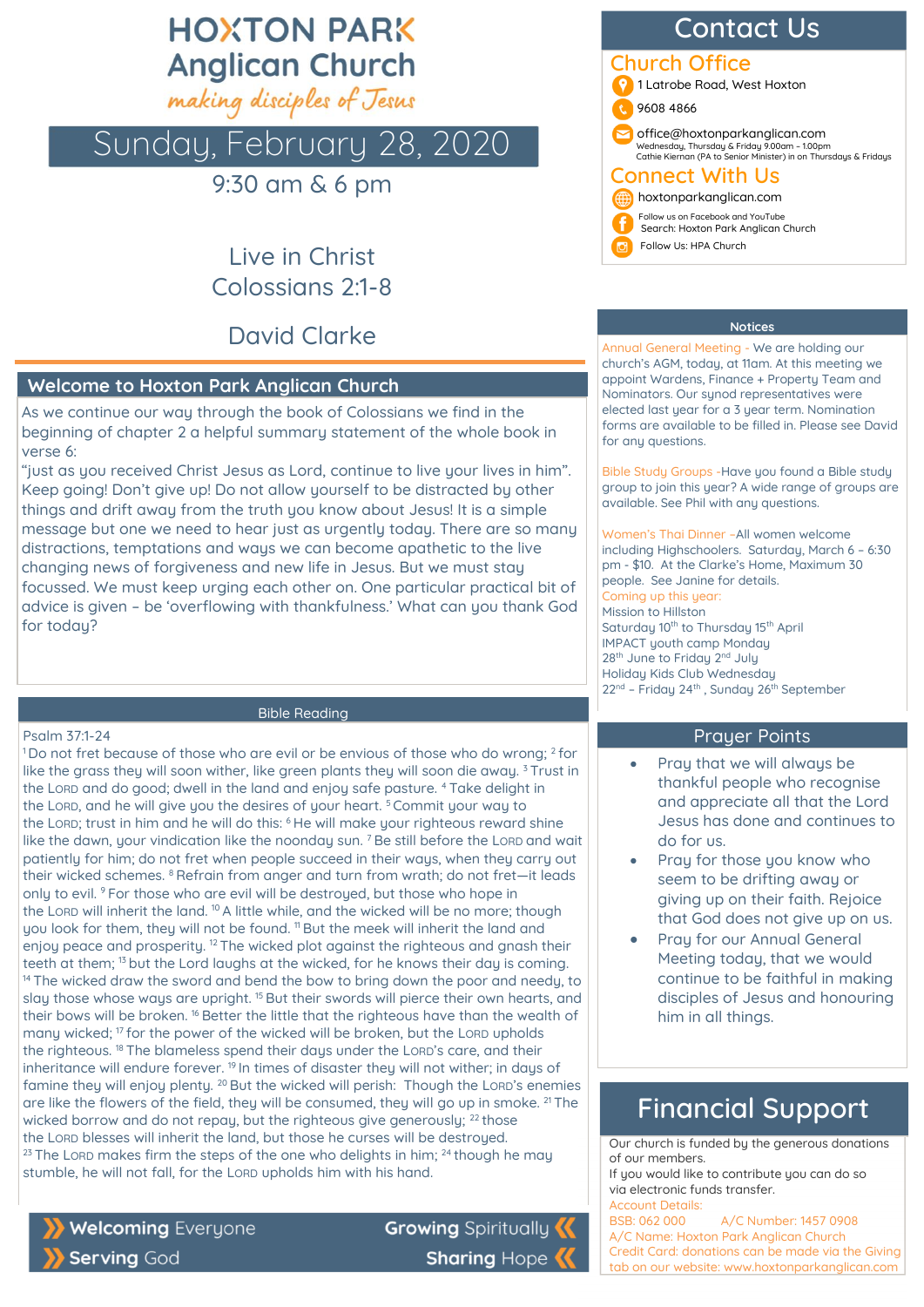# **HOXTON PARK Anglican Church**

making disciples of Jesus

# Sunday, February 28, 2020

9:30 am & 6 pm

Live in Christ Colossians 2:1-8

David Clarke

# Welcome to Hoxton Park Anglican Church

As we continue our way through the book of Colossians we find in the beginning of chapter 2 a helpful summary statement of the whole book in verse 6:

"just as you received Christ Jesus as Lord, continue to live your lives in him". Keep going! Don't give up! Do not allow yourself to be distracted by other things and drift away from the truth you know about Jesus! It is a simple message but one we need to hear just as urgently today. There are so many distractions, temptations and ways we can become apathetic to the live changing news of forgiveness and new life in Jesus. But we must stay focussed. We must keep urging each other on. One particular practical bit of advice is given – be 'overflowing with thankfulness.' What can you thank God for today?

Bible Reading

Psalm 37:1-24

 $1$ Do not fret because of those who are evil or be envious of those who do wrong;  $2$  for like the grass they will soon wither, like green plants they will soon die away.<sup>3</sup> Trust in the LORD and do good; dwell in the land and enjoy safe pasture. <sup>4</sup> Take delight in the LORD, and he will give you the desires of your heart.<sup>5</sup> Commit your way to the LORD; trust in him and he will do this: <sup>6</sup> He will make your righteous reward shine like the dawn, your vindication like the noonday sun. <sup>7</sup> Be still before the LORD and wait patiently for him; do not fret when people succeed in their ways, when they carry out their wicked schemes. <sup>8</sup> Refrain from anger and turn from wrath; do not fret—it leads only to evil. <sup>9</sup> For those who are evil will be destroued, but those who hope in the LORD will inherit the land. <sup>10</sup> A little while, and the wicked will be no more; though uou look for them, they will not be found. <sup>11</sup> But the meek will inherit the land and enjoy peace and prosperity. <sup>12</sup> The wicked plot against the righteous and gnash their teeth at them: <sup>13</sup> but the Lord laughs at the wicked, for he knows their day is coming.  $14$  The wicked draw the sword and bend the bow to bring down the poor and needy, to slay those whose ways are upright. <sup>15</sup> But their swords will pierce their own hearts, and their bows will be broken. <sup>16</sup> Better the little that the righteous have than the wealth of many wicked; <sup>17</sup> for the power of the wicked will be broken, but the LORD upholds the righteous. <sup>18</sup> The blameless spend their days under the LORD's care, and their inheritance will endure forever.<sup>19</sup> In times of disaster they will not wither; in days of famine they will enjoy plenty. <sup>20</sup> But the wicked will perish: Though the LORD's enemies are like the flowers of the field, they will be consumed, they will go up in smoke. <sup>21</sup> The wicked borrow and do not repay, but the righteous give generously; <sup>22</sup> those the LORD blesses will inherit the land, but those he curses will be destroyed. <sup>23</sup> The LORD makes firm the steps of the one who delights in him;  $24$  though he may stumble, he will not fall, for the LORD upholds him with his hand.



**Growing Spiritually Sharing Hope** 

# **Contact Us**

# **Church Office**

**1** 1 Latrobe Road, West Hoxton

9608 4866

 office@hoxtonparkanglican.com Wednesday, Thursday & Friday 9.00am – 1.00pm Cathie Kiernan (PA to Senior Minister) in on Thursdays & Fridays

# **Connect With Us**

- hoxtonparkanglican.com
	- Follow us on Facebook and YouTube Search: Hoxton Park Anglican Church
	- Follow Us: HPA Church

## Notices

Annual General Meeting - We are holding our church's AGM, today, at 11am. At this meeting we appoint Wardens, Finance + Property Team and Nominators. Our synod representatives were elected last year for a 3 year term. Nomination forms are available to be filled in. Please see David for any questions.

Bible Study Groups -Have you found a Bible study group to join this year? A wide range of groups are available. See Phil with any questions.

Women's Thai Dinner –All women welcome including Highschoolers. Saturday, March 6 - 6:30 pm - \$10. At the Clarke's Home, Maximum 30 people. See Janine for details. Coming up this year: Mission to Hillston Saturday 10<sup>th</sup> to Thursday 15<sup>th</sup> April IMPACT youth camp Monday 28<sup>th</sup> June to Friday 2<sup>nd</sup> July Holiday Kids Club Wednesday 22<sup>nd</sup> - Friday 24<sup>th</sup>, Sunday 26<sup>th</sup> September

## Prayer Points

- Pray that we will always be thankful people who recognise and appreciate all that the Lord Jesus has done and continues to do for us.
- Pray for those you know who seem to be drifting away or giving up on their faith. Rejoice that God does not give up on us.
- Pray for our Annual General Meeting today, that we would continue to be faithful in making disciples of Jesus and honouring him in all things.

# **Financial Support**

Our church is funded by the generous donations of our members.

If you would like to contribute you can do so via electronic funds transfer. Account Details:

BSB: 062 000 A/C Number: 1457 0908 A/C Name: Hoxton Park Anglican Church Credit Card: donations can be made via the Giving tab on our website: www.hoxtonparkanglican.com